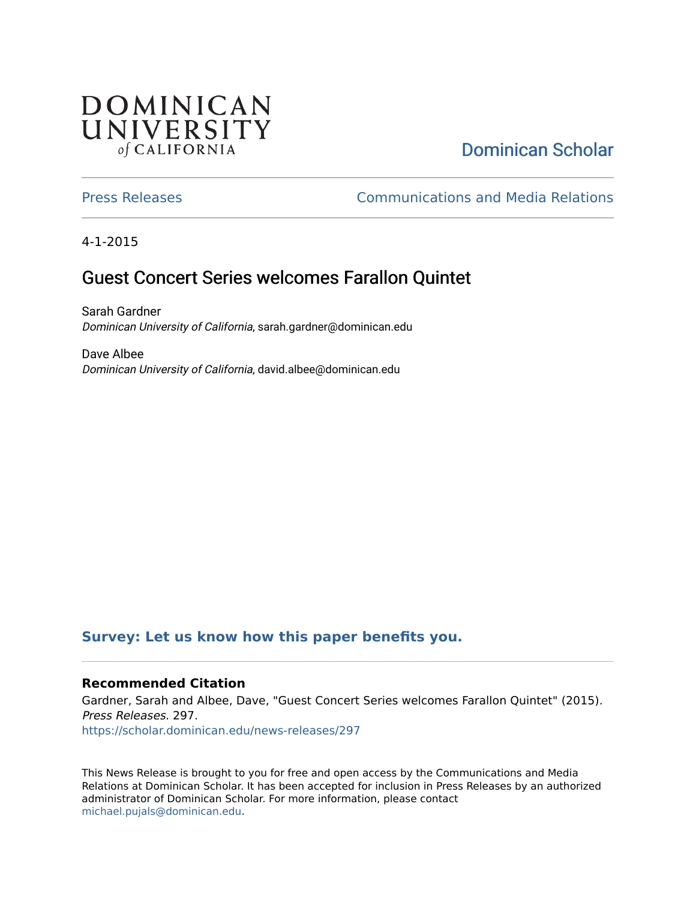## **DOMINICAN** UNIVERSITY of CALIFORNIA

# [Dominican Scholar](https://scholar.dominican.edu/)

[Press Releases](https://scholar.dominican.edu/news-releases) [Communications and Media Relations](https://scholar.dominican.edu/communications-media) 

4-1-2015

## Guest Concert Series welcomes Farallon Quintet

Sarah Gardner Dominican University of California, sarah.gardner@dominican.edu

Dave Albee Dominican University of California, david.albee@dominican.edu

#### **[Survey: Let us know how this paper benefits you.](https://dominican.libwizard.com/dominican-scholar-feedback)**

#### **Recommended Citation**

Gardner, Sarah and Albee, Dave, "Guest Concert Series welcomes Farallon Quintet" (2015). Press Releases. 297. [https://scholar.dominican.edu/news-releases/297](https://scholar.dominican.edu/news-releases/297?utm_source=scholar.dominican.edu%2Fnews-releases%2F297&utm_medium=PDF&utm_campaign=PDFCoverPages)

This News Release is brought to you for free and open access by the Communications and Media Relations at Dominican Scholar. It has been accepted for inclusion in Press Releases by an authorized administrator of Dominican Scholar. For more information, please contact [michael.pujals@dominican.edu.](mailto:michael.pujals@dominican.edu)